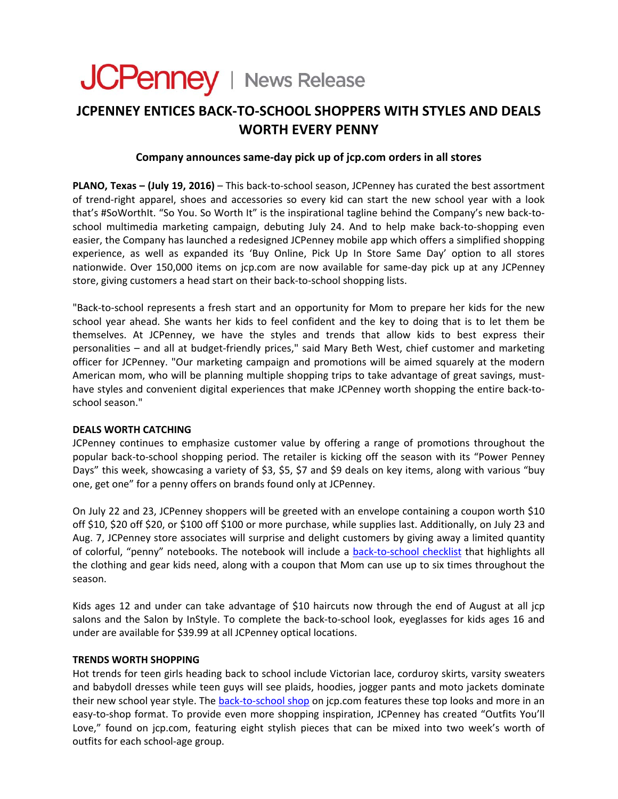# JCPenney | News Release

## **JCPENNEY ENTICES BACK‐TO‐SCHOOL SHOPPERS WITH STYLES AND DEALS WORTH EVERY PENNY**

#### **Company announces same‐day pick up of jcp.com orders in all stores**

**PLANO, Texas – (July 19, 2016)** – This back‐to‐school season, JCPenney has curated the best assortment of trend‐right apparel, shoes and accessories so every kid can start the new school year with a look that's #SoWorthIt. "So You. So Worth It" is the inspirational tagline behind the Company's new back-toschool multimedia marketing campaign, debuting July 24. And to help make back-to-shopping even easier, the Company has launched a redesigned JCPenney mobile app which offers a simplified shopping experience, as well as expanded its 'Buy Online, Pick Up In Store Same Day' option to all stores nationwide. Over 150,000 items on jcp.com are now available for same‐day pick up at any JCPenney store, giving customers a head start on their back‐to‐school shopping lists.

"Back‐to‐school represents a fresh start and an opportunity for Mom to prepare her kids for the new school year ahead. She wants her kids to feel confident and the key to doing that is to let them be themselves. At JCPenney, we have the styles and trends that allow kids to best express their personalities – and all at budget‐friendly prices," said Mary Beth West, chief customer and marketing officer for JCPenney. "Our marketing campaign and promotions will be aimed squarely at the modern American mom, who will be planning multiple shopping trips to take advantage of great savings, must‐ have styles and convenient digital experiences that make JCPenney worth shopping the entire back-toschool season."

#### **DEALS WORTH CATCHING**

JCPenney continues to emphasize customer value by offering a range of promotions throughout the popular back‐to‐school shopping period. The retailer is kicking off the season with its "Power Penney Days" this week, showcasing a variety of \$3, \$5, \$7 and \$9 deals on key items, along with various "buy one, get one" for a penny offers on brands found only at JCPenney.

On July 22 and 23, JCPenney shoppers will be greeted with an envelope containing a coupon worth \$10 off \$10, \$20 off \$20, or \$100 off \$100 or more purchase, while supplies last. Additionally, on July 23 and Aug. 7, JCPenney store associates will surprise and delight customers by giving away a limited quantity of colorful, "penny" notebooks. The notebook will include a back-to-school [checklist](http://www.jcpenney.com/dotcom/images/BTS_checklist_7-7-16.pdf) that highlights all the clothing and gear kids need, along with a coupon that Mom can use up to six times throughout the season.

Kids ages 12 and under can take advantage of \$10 haircuts now through the end of August at all jcp salons and the Salon by InStyle. To complete the back-to-school look, eyeglasses for kids ages 16 and under are available for \$39.99 at all JCPenney optical locations.

#### **TRENDS WORTH SHOPPING**

Hot trends for teen girls heading back to school include Victorian lace, corduroy skirts, varsity sweaters and babydoll dresses while teen guys will see plaids, hoodies, jogger pants and moto jackets dominate their new [school](http://www.jcpenney.com/jsp/browse/cat.jump?id=cat1002910036) year style. The **back-to-school shop on** jcp.com features these top looks and more in an easy-to-shop format. To provide even more shopping inspiration, JCPenney has created "Outfits You'll Love," found on jcp.com, featuring eight stylish pieces that can be mixed into two week's worth of outfits for each school‐age group.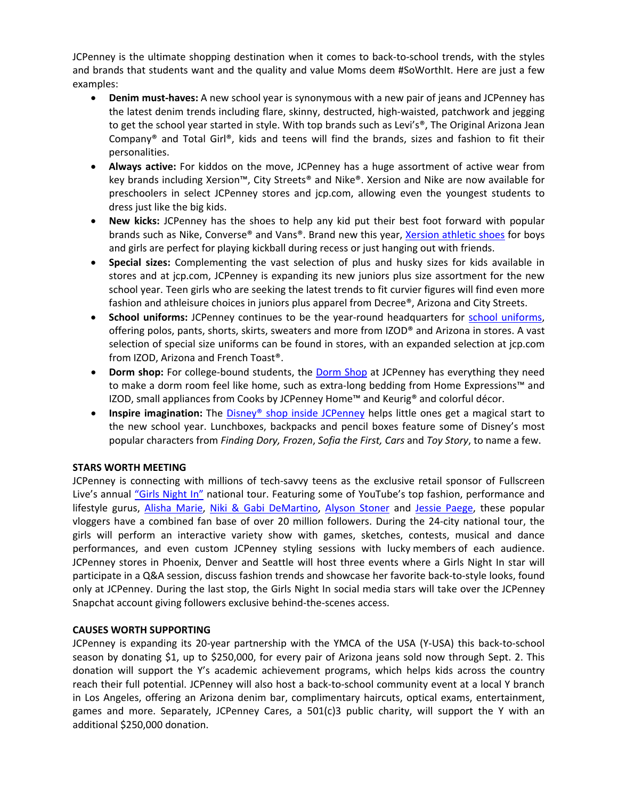JCPenney is the ultimate shopping destination when it comes to back‐to‐school trends, with the styles and brands that students want and the quality and value Moms deem #SoWorthIt. Here are just a few examples:

- **Denim must‐haves:** A new school year is synonymous with a new pair of jeans and JCPenney has the latest denim trends including flare, skinny, destructed, high‐waisted, patchwork and jegging to get the school year started in style. With top brands such as Levi's<sup>®</sup>, The Original Arizona Jean Company® and Total Girl®, kids and teens will find the brands, sizes and fashion to fit their personalities.
- **Always active:** For kiddos on the move, JCPenney has a huge assortment of active wear from key brands including Xersion™, City Streets® and Nike®. Xersion and Nike are now available for preschoolers in select JCPenney stores and jcp.com, allowing even the youngest students to dress just like the big kids.
- **New kicks:** JCPenney has the shoes to help any kid put their best foot forward with popular brands such as Nike, Converse® and Vans®. Brand new this year, Xersion [athletic](http://www.jcpenney.com/shoes/shop-brands/view-all-brands/xersion/_/N-1nvzvjZo4/cat.jump?id=cat100590175&deptId=dept20000018&marketingSlot=true) shoes for boys and girls are perfect for playing kickball during recess or just hanging out with friends.
- **Special sizes:** Complementing the vast selection of plus and husky sizes for kids available in stores and at jcp.com, JCPenney is expanding its new juniors plus size assortment for the new school year. Teen girls who are seeking the latest trends to fit curvier figures will find even more fashion and athleisure choices in juniors plus apparel from Decree®, Arizona and City Streets.
- **School uniforms:** JCPenney continues to be the year‐round headquarters for school [uniforms](http://www.jcpenney.com/shops/school-uniforms/cat.jump?id=cat1002790024&subcatId=&deptId=cat1002910036&null), offering polos, pants, shorts, skirts, sweaters and more from IZOD® and Arizona in stores. A vast selection of special size uniforms can be found in stores, with an expanded selection at jcp.com from IZOD, Arizona and French Toast®.
- **[Dorm](http://www.jcpenney.com/for-the-home/college-life/cat.jump?id=cat1001360006&deptId=dept20000011) shop:** For college-bound students, the Dorm Shop at JCPenney has everything they need to make a dorm room feel like home, such as extra‐long bedding from Home Expressions™ and IZOD, small appliances from Cooks by JCPenney Home™ and Keurig® and colorful décor.
- **Inspire imagination:** The Disney® shop inside [JCPenney](http://www.jcpenney.com/kids/disney/cat.jump?id=cat1003110020&deptId=dept20000016&cmJCP_T=G1&cmJCP_C=D9) helps little ones get a magical start to the new school year. Lunchboxes, backpacks and pencil boxes feature some of Disney's most popular characters from *Finding Dory, Frozen*, *Sofia the First, Cars* and *Toy Story*, to name a few.

### **STARS WORTH MEETING**

JCPenney is connecting with millions of tech‐savvy teens as the exclusive retail sponsor of Fullscreen Live's annual ["Girls](http://fullscreenlive.com/#girls-night-in-2016) Night In" national tour. Featuring some of YouTube's top fashion, performance and lifestyle gurus, [Alisha](https://www.youtube.com/user/macbby11) Marie, Niki & Gabi [DeMartino](https://www.youtube.com/user/nikiandgabibeauty), [Alyson](https://www.youtube.com/user/TheRealAlysonStoner/featured) Stoner and Jessie [Paege,](https://www.youtube.com/user/glamwithjessie) these popular vloggers have a combined fan base of over 20 million followers. During the 24‐city national tour, the girls will perform an interactive variety show with games, sketches, contests, musical and dance performances, and even custom JCPenney styling sessions with lucky members of each audience. JCPenney stores in Phoenix, Denver and Seattle will host three events where a Girls Night In star will participate in a Q&A session, discuss fashion trends and showcase her favorite back‐to‐style looks, found only at JCPenney. During the last stop, the Girls Night In social media stars will take over the JCPenney Snapchat account giving followers exclusive behind‐the‐scenes access.

#### **CAUSES WORTH SUPPORTING**

JCPenney is expanding its 20‐year partnership with the YMCA of the USA (Y‐USA) this back‐to‐school season by donating \$1, up to \$250,000, for every pair of Arizona jeans sold now through Sept. 2. This donation will support the Y's academic achievement programs, which helps kids across the country reach their full potential. JCPenney will also host a back‐to‐school community event at a local Y branch in Los Angeles, offering an Arizona denim bar, complimentary haircuts, optical exams, entertainment, games and more. Separately, JCPenney Cares, a  $501(c)3$  public charity, will support the Y with an additional \$250,000 donation.